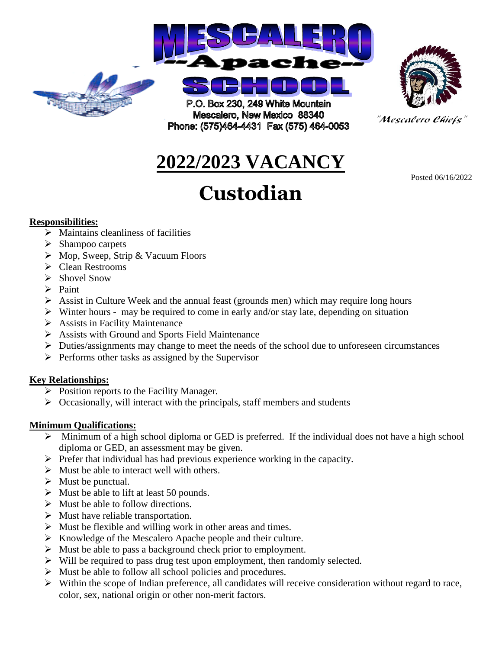



"Mescalero Chiefs"

Posted 06/16/2022

# **2022/2023 VACANCY**

# **Custodian**

#### **Responsibilities:**

- $\triangleright$  Maintains cleanliness of facilities
- $\triangleright$  Shampoo carpets
- $\triangleright$  Mop, Sweep, Strip & Vacuum Floors
- Clean Restrooms
- $\triangleright$  Shovel Snow
- $\triangleright$  Paint
- $\triangleright$  Assist in Culture Week and the annual feast (grounds men) which may require long hours
- $\triangleright$  Winter hours may be required to come in early and/or stay late, depending on situation
- $\triangleright$  Assists in Facility Maintenance
- Assists with Ground and Sports Field Maintenance
- $\triangleright$  Duties/assignments may change to meet the needs of the school due to unforeseen circumstances
- $\triangleright$  Performs other tasks as assigned by the Supervisor

## **Key Relationships:**

- $\triangleright$  Position reports to the Facility Manager.
- $\triangleright$  Occasionally, will interact with the principals, staff members and students

## **Minimum Qualifications:**

- $\triangleright$  Minimum of a high school diploma or GED is preferred. If the individual does not have a high school diploma or GED, an assessment may be given.
- $\triangleright$  Prefer that individual has had previous experience working in the capacity.
- $\triangleright$  Must be able to interact well with others.
- $\triangleright$  Must be punctual.
- $\triangleright$  Must be able to lift at least 50 pounds.
- $\triangleright$  Must be able to follow directions.
- $\triangleright$  Must have reliable transportation.
- $\triangleright$  Must be flexible and willing work in other areas and times.
- $\triangleright$  Knowledge of the Mescalero Apache people and their culture.
- $\triangleright$  Must be able to pass a background check prior to employment.
- $\triangleright$  Will be required to pass drug test upon employment, then randomly selected.
- $\triangleright$  Must be able to follow all school policies and procedures.
- $\triangleright$  Within the scope of Indian preference, all candidates will receive consideration without regard to race, color, sex, national origin or other non-merit factors.